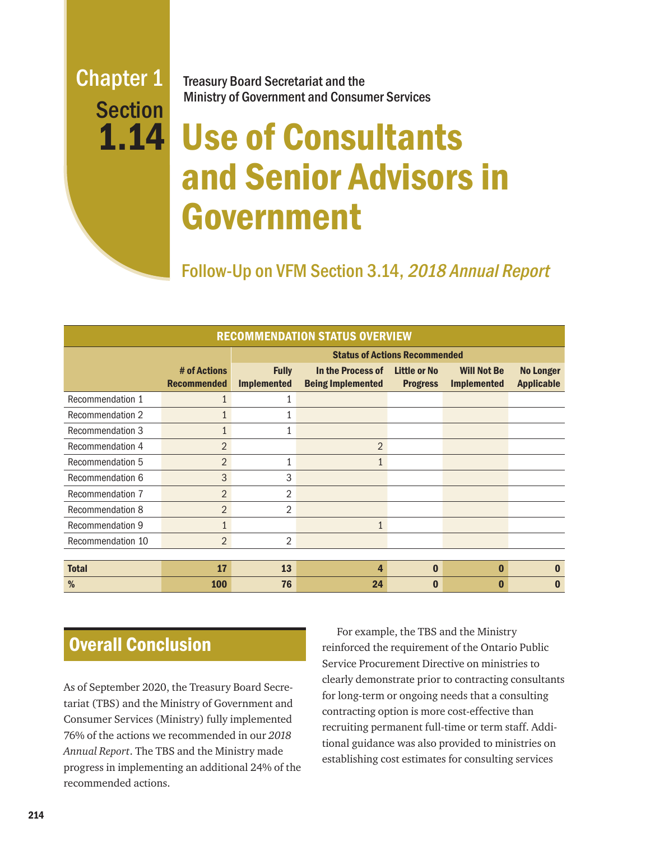## Chapter 1 **Section** 1.14

Treasury Board Secretariat and the Ministry of Government and Consumer Services

# Use of Consultants and Senior Advisors in Government

Follow-Up on VFM Section 3.14, 2018 Annual Report

| <b>RECOMMENDATION STATUS OVERVIEW</b> |                                    |                                      |                                               |                                 |                                          |                                       |
|---------------------------------------|------------------------------------|--------------------------------------|-----------------------------------------------|---------------------------------|------------------------------------------|---------------------------------------|
|                                       |                                    | <b>Status of Actions Recommended</b> |                                               |                                 |                                          |                                       |
|                                       | # of Actions<br><b>Recommended</b> | <b>Fully</b><br><b>Implemented</b>   | In the Process of<br><b>Being Implemented</b> | Little or No<br><b>Progress</b> | <b>Will Not Be</b><br><b>Implemented</b> | <b>No Longer</b><br><b>Applicable</b> |
| Recommendation 1                      |                                    |                                      |                                               |                                 |                                          |                                       |
| <b>Recommendation 2</b>               | $\mathbf{1}$                       |                                      |                                               |                                 |                                          |                                       |
| <b>Recommendation 3</b>               | $\mathbf{1}$                       | 1                                    |                                               |                                 |                                          |                                       |
| Recommendation 4                      | $\overline{2}$                     |                                      | $\overline{2}$                                |                                 |                                          |                                       |
| Recommendation 5                      | $\overline{2}$                     | $\mathbf{1}$                         | 1                                             |                                 |                                          |                                       |
| Recommendation 6                      | 3                                  | 3                                    |                                               |                                 |                                          |                                       |
| Recommendation 7                      | $\overline{2}$                     | 2                                    |                                               |                                 |                                          |                                       |
| Recommendation 8                      | $\overline{2}$                     | $\overline{2}$                       |                                               |                                 |                                          |                                       |
| Recommendation 9                      | $\mathbf{1}$                       |                                      | 1                                             |                                 |                                          |                                       |
| Recommendation 10                     | $\overline{2}$                     | $\overline{2}$                       |                                               |                                 |                                          |                                       |
|                                       |                                    |                                      |                                               |                                 |                                          |                                       |
| <b>Total</b>                          | 17                                 | 13                                   | 4                                             | $\bf{0}$                        | $\bf{0}$                                 | $\bf{0}$                              |
| %                                     | 100                                | 76                                   | 24                                            | n                               |                                          | O                                     |

## Overall Conclusion

As of September 2020, the Treasury Board Secretariat (TBS) and the Ministry of Government and Consumer Services (Ministry) fully implemented 76% of the actions we recommended in our *2018 Annual Report*. The TBS and the Ministry made progress in implementing an additional 24% of the recommended actions.

For example, the TBS and the Ministry reinforced the requirement of the Ontario Public Service Procurement Directive on ministries to clearly demonstrate prior to contracting consultants for long-term or ongoing needs that a consulting contracting option is more cost-effective than recruiting permanent full-time or term staff. Additional guidance was also provided to ministries on establishing cost estimates for consulting services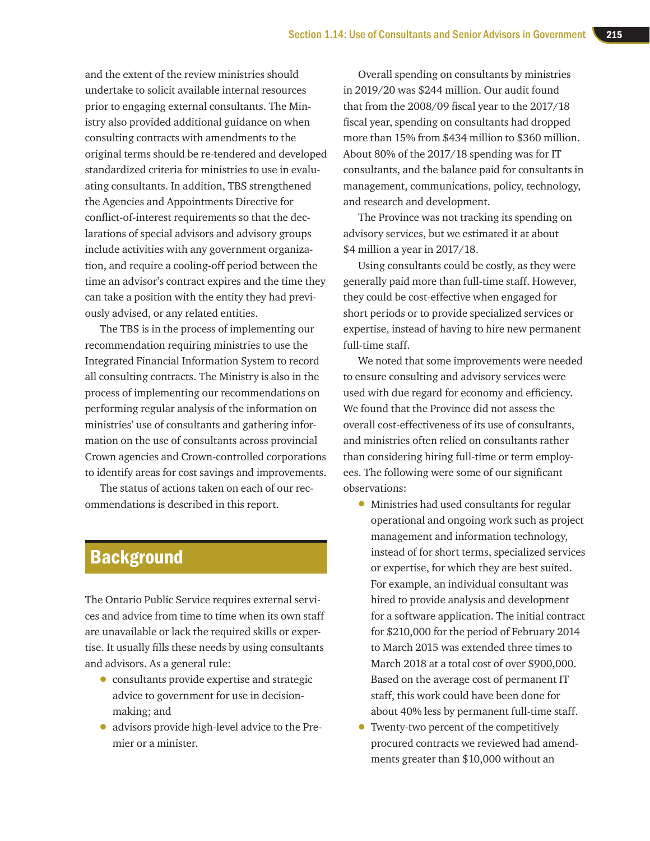and the extent of the review ministries should undertake to solicit available internal resources prior to engaging external consultants. The Ministry also provided additional guidance on when consulting contracts with amendments to the original terms should be re-tendered and developed standardized criteria for ministries to use in evaluating consultants. In addition, TBS strengthened the Agencies and Appointments Directive for conflict-of-interest requirements so that the declarations of special advisors and advisory groups include activities with any government organization, and require a cooling-off period between the time an advisor's contract expires and the time they can take a position with the entity they had previously advised, or any related entities.

The TBS is in the process of implementing our recommendation requiring ministries to use the Integrated Financial Information System to record all consulting contracts. The Ministry is also in the process of implementing our recommendations on performing regular analysis of the information on ministries' use of consultants and gathering information on the use of consultants across provincial Crown agencies and Crown-controlled corporations to identify areas for cost savings and improvements.

The status of actions taken on each of our recommendations is described in this report.

## **Background**

The Ontario Public Service requires external services and advice from time to time when its own staff are unavailable or lack the required skills or expertise. It usually fills these needs by using consultants and advisors. As a general rule:

- consultants provide expertise and strategic advice to government for use in decisionmaking; and
- advisors provide high-level advice to the Premier or a minister.

Overall spending on consultants by ministries in 2019/20 was \$244 million. Our audit found that from the 2008/09 fiscal year to the 2017/18 fiscal year, spending on consultants had dropped more than 15% from \$434 million to \$360 million. About 80% of the 2017/18 spending was for IT consultants, and the balance paid for consultants in management, communications, policy, technology, and research and development.

The Province was not tracking its spending on advisory services, but we estimated it at about \$4 million a year in 2017/18.

Using consultants could be costly, as they were generally paid more than full-time staff. However, they could be cost-effective when engaged for short periods or to provide specialized services or expertise, instead of having to hire new permanent full-time staff.

We noted that some improvements were needed to ensure consulting and advisory services were used with due regard for economy and efficiency. We found that the Province did not assess the overall cost-effectiveness of its use of consultants, and ministries often relied on consultants rather than considering hiring full-time or term employees. The following were some of our significant observations:

- Ministries had used consultants for regular operational and ongoing work such as project management and information technology, instead of for short terms, specialized services or expertise, for which they are best suited. For example, an individual consultant was hired to provide analysis and development for a software application. The initial contract for \$210,000 for the period of February 2014 to March 2015 was extended three times to March 2018 at a total cost of over \$900,000. Based on the average cost of permanent IT staff, this work could have been done for about 40% less by permanent full-time staff.
- Twenty-two percent of the competitively procured contracts we reviewed had amendments greater than \$10,000 without an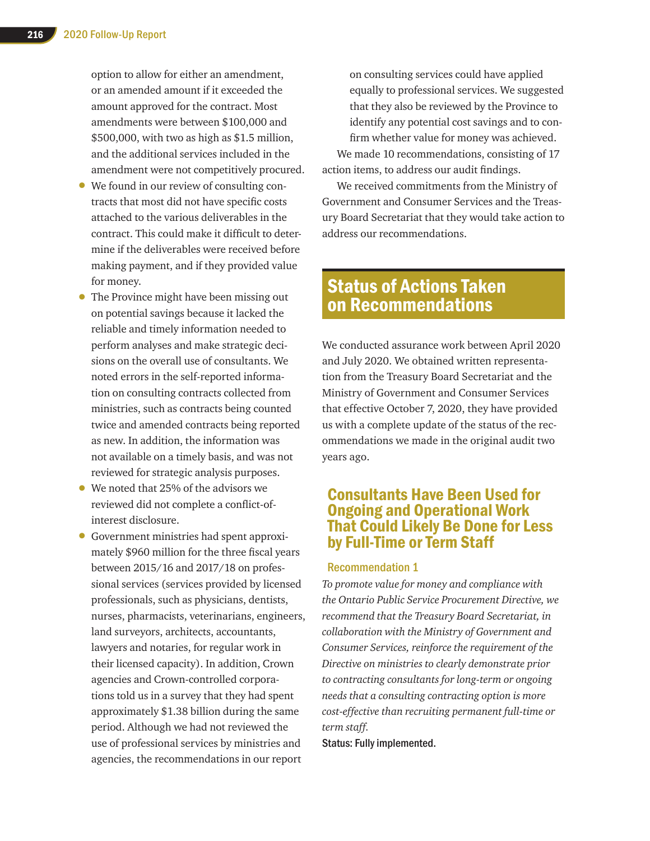option to allow for either an amendment, or an amended amount if it exceeded the amount approved for the contract. Most amendments were between \$100,000 and \$500,000, with two as high as \$1.5 million, and the additional services included in the amendment were not competitively procured.

- We found in our review of consulting contracts that most did not have specific costs attached to the various deliverables in the contract. This could make it difficult to determine if the deliverables were received before making payment, and if they provided value for money.
- The Province might have been missing out on potential savings because it lacked the reliable and timely information needed to perform analyses and make strategic decisions on the overall use of consultants. We noted errors in the self-reported information on consulting contracts collected from ministries, such as contracts being counted twice and amended contracts being reported as new. In addition, the information was not available on a timely basis, and was not reviewed for strategic analysis purposes.
- We noted that 25% of the advisors we reviewed did not complete a conflict-ofinterest disclosure.
- Government ministries had spent approximately \$960 million for the three fiscal years between 2015/16 and 2017/18 on professional services (services provided by licensed professionals, such as physicians, dentists, nurses, pharmacists, veterinarians, engineers, land surveyors, architects, accountants, lawyers and notaries, for regular work in their licensed capacity). In addition, Crown agencies and Crown-controlled corporations told us in a survey that they had spent approximately \$1.38 billion during the same period. Although we had not reviewed the use of professional services by ministries and agencies, the recommendations in our report

on consulting services could have applied equally to professional services. We suggested that they also be reviewed by the Province to identify any potential cost savings and to confirm whether value for money was achieved. We made 10 recommendations, consisting of 17 action items, to address our audit findings.

We received commitments from the Ministry of Government and Consumer Services and the Treasury Board Secretariat that they would take action to address our recommendations.

## Status of Actions Taken on Recommendations

We conducted assurance work between April 2020 and July 2020. We obtained written representation from the Treasury Board Secretariat and the Ministry of Government and Consumer Services that effective October 7, 2020, they have provided us with a complete update of the status of the recommendations we made in the original audit two years ago.

## Consultants Have Been Used for Ongoing and Operational Work That Could Likely Be Done for Less by Full-Time or Term Staff

## Recommendation 1

*To promote value for money and compliance with the Ontario Public Service Procurement Directive, we recommend that the Treasury Board Secretariat, in collaboration with the Ministry of Government and Consumer Services, reinforce the requirement of the Directive on ministries to clearly demonstrate prior to contracting consultants for long-term or ongoing needs that a consulting contracting option is more cost-effective than recruiting permanent full-time or term staff.*

Status: Fully implemented.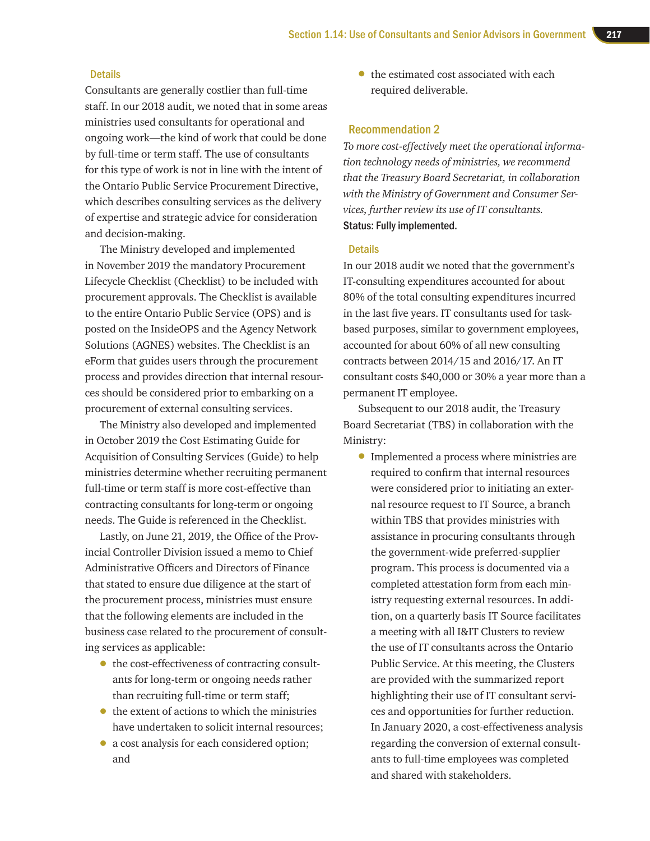## **Details**

Consultants are generally costlier than full-time staff. In our 2018 audit, we noted that in some areas ministries used consultants for operational and ongoing work—the kind of work that could be done by full-time or term staff. The use of consultants for this type of work is not in line with the intent of the Ontario Public Service Procurement Directive, which describes consulting services as the delivery of expertise and strategic advice for consideration and decision-making.

The Ministry developed and implemented in November 2019 the mandatory Procurement Lifecycle Checklist (Checklist) to be included with procurement approvals. The Checklist is available to the entire Ontario Public Service (OPS) and is posted on the InsideOPS and the Agency Network Solutions (AGNES) websites. The Checklist is an eForm that guides users through the procurement process and provides direction that internal resources should be considered prior to embarking on a procurement of external consulting services.

The Ministry also developed and implemented in October 2019 the Cost Estimating Guide for Acquisition of Consulting Services (Guide) to help ministries determine whether recruiting permanent full-time or term staff is more cost-effective than contracting consultants for long-term or ongoing needs. The Guide is referenced in the Checklist.

Lastly, on June 21, 2019, the Office of the Provincial Controller Division issued a memo to Chief Administrative Officers and Directors of Finance that stated to ensure due diligence at the start of the procurement process, ministries must ensure that the following elements are included in the business case related to the procurement of consulting services as applicable:

- the cost-effectiveness of contracting consultants for long-term or ongoing needs rather than recruiting full-time or term staff;
- the extent of actions to which the ministries have undertaken to solicit internal resources;
- a cost analysis for each considered option; and

• the estimated cost associated with each required deliverable.

## Recommendation 2

*To more cost-effectively meet the operational information technology needs of ministries, we recommend that the Treasury Board Secretariat, in collaboration with the Ministry of Government and Consumer Services, further review its use of IT consultants.*  Status: Fully implemented.

#### **Details**

In our 2018 audit we noted that the government's IT-consulting expenditures accounted for about 80% of the total consulting expenditures incurred in the last five years. IT consultants used for taskbased purposes, similar to government employees, accounted for about 60% of all new consulting contracts between 2014/15 and 2016/17. An IT consultant costs \$40,000 or 30% a year more than a permanent IT employee.

Subsequent to our 2018 audit, the Treasury Board Secretariat (TBS) in collaboration with the Ministry:

• Implemented a process where ministries are required to confirm that internal resources were considered prior to initiating an external resource request to IT Source, a branch within TBS that provides ministries with assistance in procuring consultants through the government-wide preferred-supplier program. This process is documented via a completed attestation form from each ministry requesting external resources. In addition, on a quarterly basis IT Source facilitates a meeting with all I&IT Clusters to review the use of IT consultants across the Ontario Public Service. At this meeting, the Clusters are provided with the summarized report highlighting their use of IT consultant services and opportunities for further reduction. In January 2020, a cost-effectiveness analysis regarding the conversion of external consultants to full-time employees was completed and shared with stakeholders.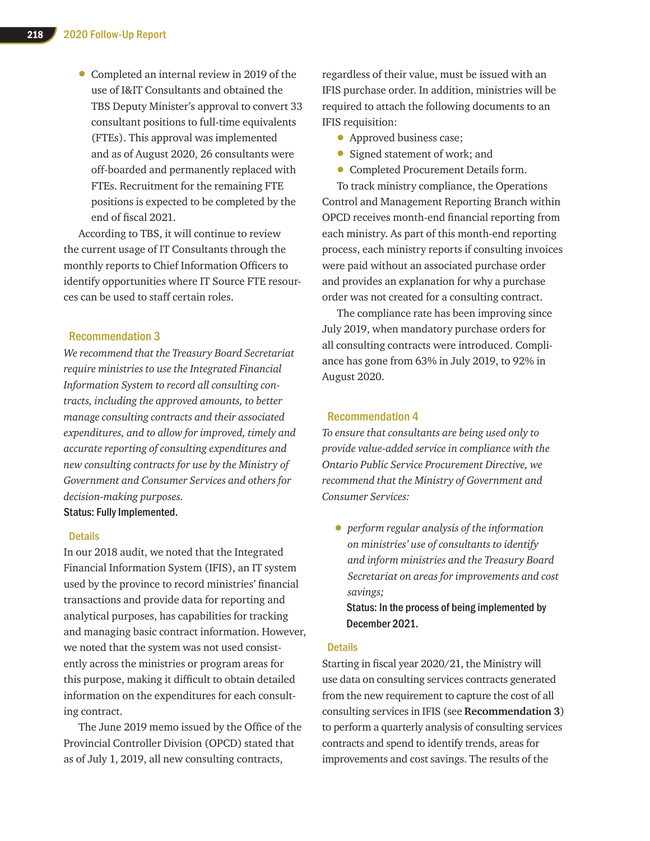• Completed an internal review in 2019 of the use of I&IT Consultants and obtained the TBS Deputy Minister's approval to convert 33 consultant positions to full-time equivalents (FTEs). This approval was implemented and as of August 2020, 26 consultants were off-boarded and permanently replaced with FTEs. Recruitment for the remaining FTE positions is expected to be completed by the end of fiscal 2021.

According to TBS, it will continue to review the current usage of IT Consultants through the monthly reports to Chief Information Officers to identify opportunities where IT Source FTE resources can be used to staff certain roles.

## Recommendation 3

*We recommend that the Treasury Board Secretariat require ministries to use the Integrated Financial Information System to record all consulting contracts, including the approved amounts, to better manage consulting contracts and their associated expenditures, and to allow for improved, timely and accurate reporting of consulting expenditures and new consulting contracts for use by the Ministry of Government and Consumer Services and others for decision-making purposes.*

Status: Fully Implemented.

## **Details**

In our 2018 audit, we noted that the Integrated Financial Information System (IFIS), an IT system used by the province to record ministries' financial transactions and provide data for reporting and analytical purposes, has capabilities for tracking and managing basic contract information. However, we noted that the system was not used consistently across the ministries or program areas for this purpose, making it difficult to obtain detailed information on the expenditures for each consulting contract.

The June 2019 memo issued by the Office of the Provincial Controller Division (OPCD) stated that as of July 1, 2019, all new consulting contracts,

regardless of their value, must be issued with an IFIS purchase order. In addition, ministries will be required to attach the following documents to an IFIS requisition:

- Approved business case;
- Signed statement of work; and
- Completed Procurement Details form.

To track ministry compliance, the Operations Control and Management Reporting Branch within OPCD receives month-end financial reporting from each ministry. As part of this month-end reporting process, each ministry reports if consulting invoices were paid without an associated purchase order and provides an explanation for why a purchase order was not created for a consulting contract.

The compliance rate has been improving since July 2019, when mandatory purchase orders for all consulting contracts were introduced. Compliance has gone from 63% in July 2019, to 92% in August 2020.

## Recommendation 4

*To ensure that consultants are being used only to provide value-added service in compliance with the Ontario Public Service Procurement Directive, we recommend that the Ministry of Government and Consumer Services:* 

• *perform regular analysis of the information on ministries' use of consultants to identify and inform ministries and the Treasury Board Secretariat on areas for improvements and cost savings;* 

Status: In the process of being implemented by December 2021.

### **Details**

Starting in fiscal year 2020/21, the Ministry will use data on consulting services contracts generated from the new requirement to capture the cost of all consulting services in IFIS (see **Recommendation 3**) to perform a quarterly analysis of consulting services contracts and spend to identify trends, areas for improvements and cost savings. The results of the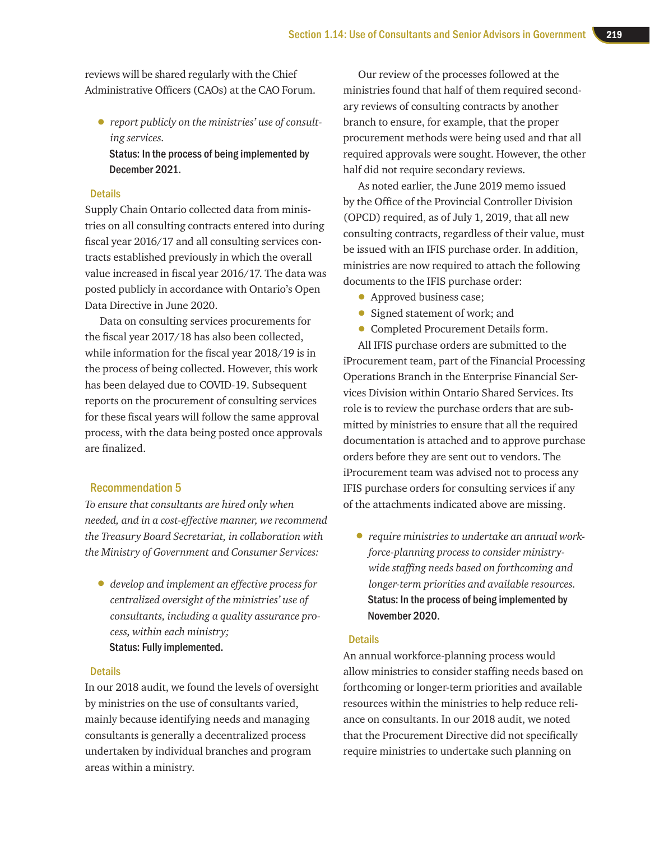reviews will be shared regularly with the Chief Administrative Officers (CAOs) at the CAO Forum.

• *report publicly on the ministries' use of consulting services.*

Status: In the process of being implemented by December 2021.

## **Details**

Supply Chain Ontario collected data from ministries on all consulting contracts entered into during fiscal year 2016/17 and all consulting services contracts established previously in which the overall value increased in fiscal year 2016/17. The data was posted publicly in accordance with Ontario's Open Data Directive in June 2020.

Data on consulting services procurements for the fiscal year 2017/18 has also been collected, while information for the fiscal year 2018/19 is in the process of being collected. However, this work has been delayed due to COVID-19. Subsequent reports on the procurement of consulting services for these fiscal years will follow the same approval process, with the data being posted once approvals are finalized.

## Recommendation 5

*To ensure that consultants are hired only when needed, and in a cost-effective manner, we recommend the Treasury Board Secretariat, in collaboration with the Ministry of Government and Consumer Services:* 

• *develop and implement an effective process for centralized oversight of the ministries' use of consultants, including a quality assurance process, within each ministry;*  Status: Fully implemented.

#### **Details**

In our 2018 audit, we found the levels of oversight by ministries on the use of consultants varied, mainly because identifying needs and managing consultants is generally a decentralized process undertaken by individual branches and program areas within a ministry.

Our review of the processes followed at the ministries found that half of them required secondary reviews of consulting contracts by another branch to ensure, for example, that the proper procurement methods were being used and that all required approvals were sought. However, the other half did not require secondary reviews.

As noted earlier, the June 2019 memo issued by the Office of the Provincial Controller Division (OPCD) required, as of July 1, 2019, that all new consulting contracts, regardless of their value, must be issued with an IFIS purchase order. In addition, ministries are now required to attach the following documents to the IFIS purchase order:

- Approved business case;
- Signed statement of work; and
- Completed Procurement Details form.

All IFIS purchase orders are submitted to the iProcurement team, part of the Financial Processing Operations Branch in the Enterprise Financial Services Division within Ontario Shared Services. Its role is to review the purchase orders that are submitted by ministries to ensure that all the required documentation is attached and to approve purchase orders before they are sent out to vendors. The iProcurement team was advised not to process any IFIS purchase orders for consulting services if any of the attachments indicated above are missing.

• *require ministries to undertake an annual workforce-planning process to consider ministrywide staffing needs based on forthcoming and longer-term priorities and available resources.* Status: In the process of being implemented by November 2020.

## **Details**

An annual workforce-planning process would allow ministries to consider staffing needs based on forthcoming or longer-term priorities and available resources within the ministries to help reduce reliance on consultants. In our 2018 audit, we noted that the Procurement Directive did not specifically require ministries to undertake such planning on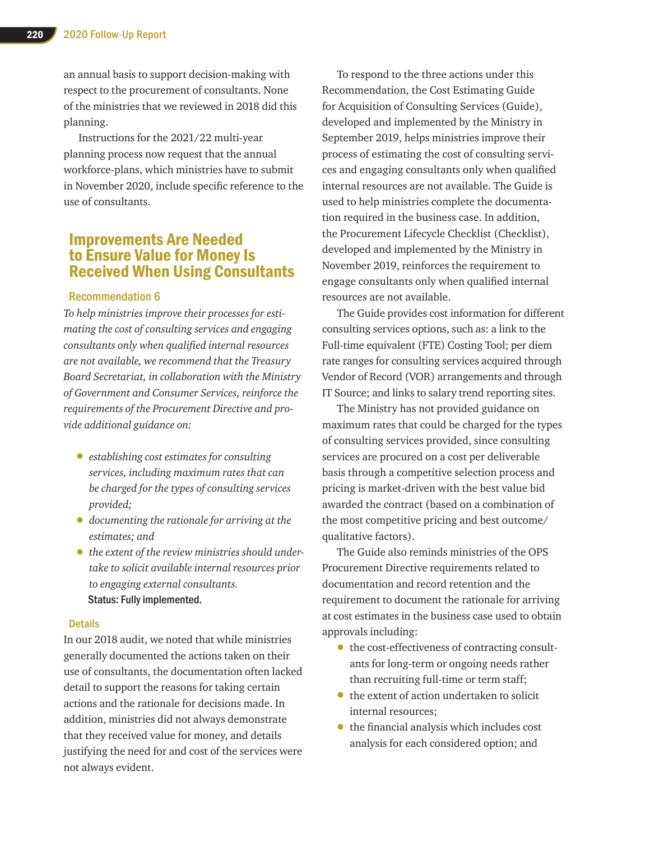an annual basis to support decision-making with respect to the procurement of consultants. None of the ministries that we reviewed in 2018 did this planning.

Instructions for the 2021/22 multi-year planning process now request that the annual workforce-plans, which ministries have to submit in November 2020, include specific reference to the use of consultants.

## Improvements Are Needed to Ensure Value for Money Is Received When Using Consultants

## Recommendation 6

*To help ministries improve their processes for estimating the cost of consulting services and engaging consultants only when qualified internal resources are not available, we recommend that the Treasury Board Secretariat, in collaboration with the Ministry of Government and Consumer Services, reinforce the requirements of the Procurement Directive and provide additional guidance on:*

- *establishing cost estimates for consulting services, including maximum rates that can be charged for the types of consulting services provided;*
- *documenting the rationale for arriving at the estimates; and*
- *the extent of the review ministries should undertake to solicit available internal resources prior to engaging external consultants.* Status: Fully implemented.

## **Details**

In our 2018 audit, we noted that while ministries generally documented the actions taken on their use of consultants, the documentation often lacked detail to support the reasons for taking certain actions and the rationale for decisions made. In addition, ministries did not always demonstrate that they received value for money, and details justifying the need for and cost of the services were not always evident.

To respond to the three actions under this Recommendation, the Cost Estimating Guide for Acquisition of Consulting Services (Guide), developed and implemented by the Ministry in September 2019, helps ministries improve their process of estimating the cost of consulting services and engaging consultants only when qualified internal resources are not available. The Guide is used to help ministries complete the documentation required in the business case. In addition, the Procurement Lifecycle Checklist (Checklist), developed and implemented by the Ministry in November 2019, reinforces the requirement to engage consultants only when qualified internal resources are not available.

The Guide provides cost information for different consulting services options, such as: a link to the Full-time equivalent (FTE) Costing Tool; per diem rate ranges for consulting services acquired through Vendor of Record (VOR) arrangements and through IT Source; and links to salary trend reporting sites.

The Ministry has not provided guidance on maximum rates that could be charged for the types of consulting services provided, since consulting services are procured on a cost per deliverable basis through a competitive selection process and pricing is market-driven with the best value bid awarded the contract (based on a combination of the most competitive pricing and best outcome/ qualitative factors).

The Guide also reminds ministries of the OPS Procurement Directive requirements related to documentation and record retention and the requirement to document the rationale for arriving at cost estimates in the business case used to obtain approvals including:

- the cost-effectiveness of contracting consultants for long-term or ongoing needs rather than recruiting full-time or term staff;
- the extent of action undertaken to solicit internal resources;
- the financial analysis which includes cost analysis for each considered option; and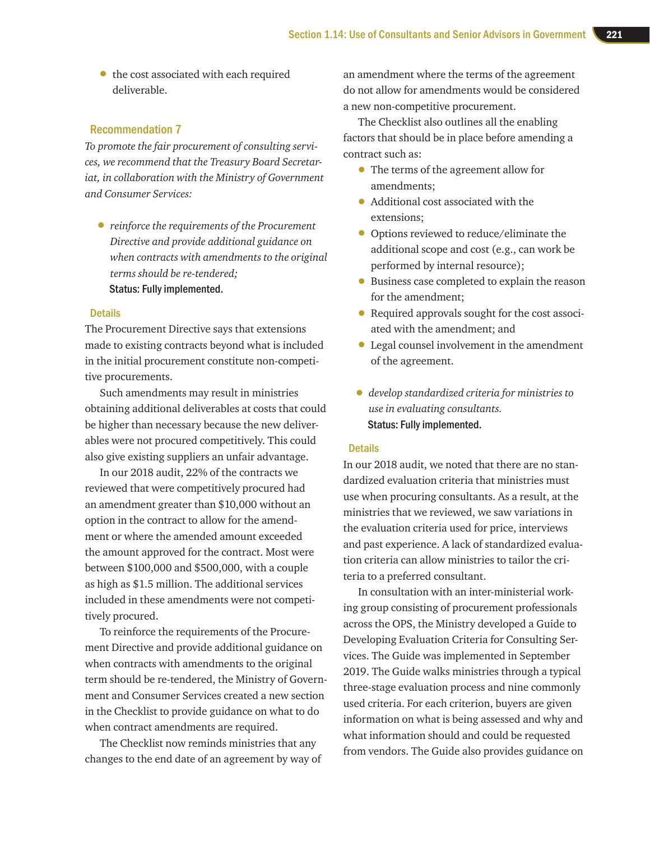• the cost associated with each required deliverable.

## Recommendation 7

*To promote the fair procurement of consulting services, we recommend that the Treasury Board Secretariat, in collaboration with the Ministry of Government and Consumer Services:* 

• *reinforce the requirements of the Procurement Directive and provide additional guidance on when contracts with amendments to the original terms should be re-tendered;*  Status: Fully implemented.

#### **Details**

The Procurement Directive says that extensions made to existing contracts beyond what is included in the initial procurement constitute non-competitive procurements.

Such amendments may result in ministries obtaining additional deliverables at costs that could be higher than necessary because the new deliverables were not procured competitively. This could also give existing suppliers an unfair advantage.

In our 2018 audit, 22% of the contracts we reviewed that were competitively procured had an amendment greater than \$10,000 without an option in the contract to allow for the amendment or where the amended amount exceeded the amount approved for the contract. Most were between \$100,000 and \$500,000, with a couple as high as \$1.5 million. The additional services included in these amendments were not competitively procured.

To reinforce the requirements of the Procurement Directive and provide additional guidance on when contracts with amendments to the original term should be re-tendered, the Ministry of Government and Consumer Services created a new section in the Checklist to provide guidance on what to do when contract amendments are required.

The Checklist now reminds ministries that any changes to the end date of an agreement by way of

an amendment where the terms of the agreement do not allow for amendments would be considered a new non-competitive procurement.

The Checklist also outlines all the enabling factors that should be in place before amending a contract such as:

- The terms of the agreement allow for amendments;
- Additional cost associated with the extensions;
- Options reviewed to reduce/eliminate the additional scope and cost (e.g., can work be performed by internal resource);
- Business case completed to explain the reason for the amendment;
- Required approvals sought for the cost associated with the amendment; and
- Legal counsel involvement in the amendment of the agreement.
- *develop standardized criteria for ministries to use in evaluating consultants.*  Status: Fully implemented.

#### **Details**

In our 2018 audit, we noted that there are no standardized evaluation criteria that ministries must use when procuring consultants. As a result, at the ministries that we reviewed, we saw variations in the evaluation criteria used for price, interviews and past experience. A lack of standardized evaluation criteria can allow ministries to tailor the criteria to a preferred consultant.

In consultation with an inter-ministerial working group consisting of procurement professionals across the OPS, the Ministry developed a Guide to Developing Evaluation Criteria for Consulting Services. The Guide was implemented in September 2019. The Guide walks ministries through a typical three-stage evaluation process and nine commonly used criteria. For each criterion, buyers are given information on what is being assessed and why and what information should and could be requested from vendors. The Guide also provides guidance on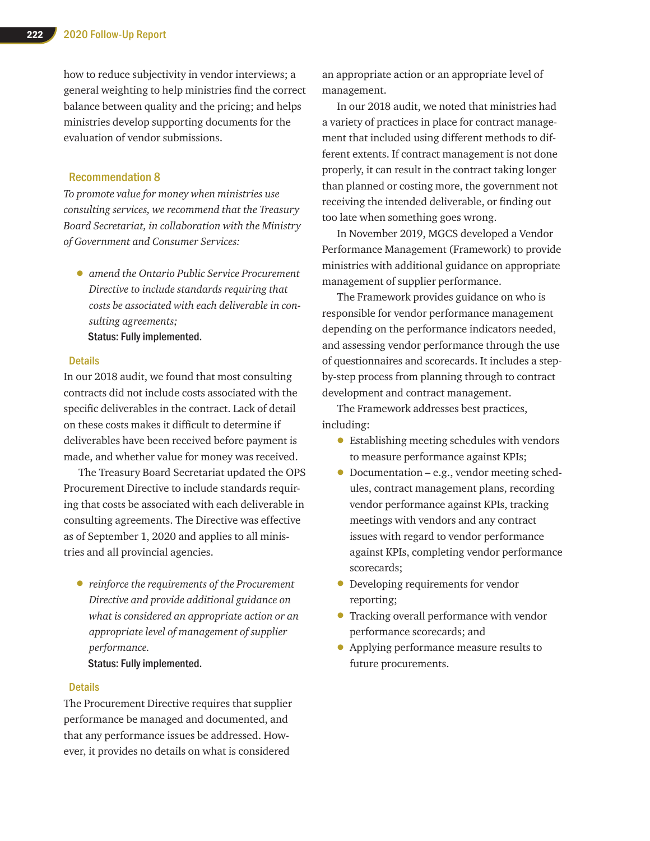how to reduce subjectivity in vendor interviews; a general weighting to help ministries find the correct balance between quality and the pricing; and helps ministries develop supporting documents for the evaluation of vendor submissions.

## Recommendation 8

*To promote value for money when ministries use consulting services, we recommend that the Treasury Board Secretariat, in collaboration with the Ministry of Government and Consumer Services:* 

• *amend the Ontario Public Service Procurement Directive to include standards requiring that costs be associated with each deliverable in consulting agreements;* 

Status: Fully implemented.

#### **Details**

In our 2018 audit, we found that most consulting contracts did not include costs associated with the specific deliverables in the contract. Lack of detail on these costs makes it difficult to determine if deliverables have been received before payment is made, and whether value for money was received.

The Treasury Board Secretariat updated the OPS Procurement Directive to include standards requiring that costs be associated with each deliverable in consulting agreements. The Directive was effective as of September 1, 2020 and applies to all ministries and all provincial agencies.

• *reinforce the requirements of the Procurement Directive and provide additional guidance on what is considered an appropriate action or an appropriate level of management of supplier performance.* 

Status: Fully implemented.

#### **Details**

The Procurement Directive requires that supplier performance be managed and documented, and that any performance issues be addressed. However, it provides no details on what is considered

an appropriate action or an appropriate level of management.

In our 2018 audit, we noted that ministries had a variety of practices in place for contract management that included using different methods to different extents. If contract management is not done properly, it can result in the contract taking longer than planned or costing more, the government not receiving the intended deliverable, or finding out too late when something goes wrong.

In November 2019, MGCS developed a Vendor Performance Management (Framework) to provide ministries with additional guidance on appropriate management of supplier performance.

The Framework provides guidance on who is responsible for vendor performance management depending on the performance indicators needed, and assessing vendor performance through the use of questionnaires and scorecards. It includes a stepby-step process from planning through to contract development and contract management.

The Framework addresses best practices, including:

- Establishing meeting schedules with vendors to measure performance against KPIs;
- Documentation e.g., vendor meeting schedules, contract management plans, recording vendor performance against KPIs, tracking meetings with vendors and any contract issues with regard to vendor performance against KPIs, completing vendor performance scorecards;
- Developing requirements for vendor reporting;
- Tracking overall performance with vendor performance scorecards; and
- Applying performance measure results to future procurements.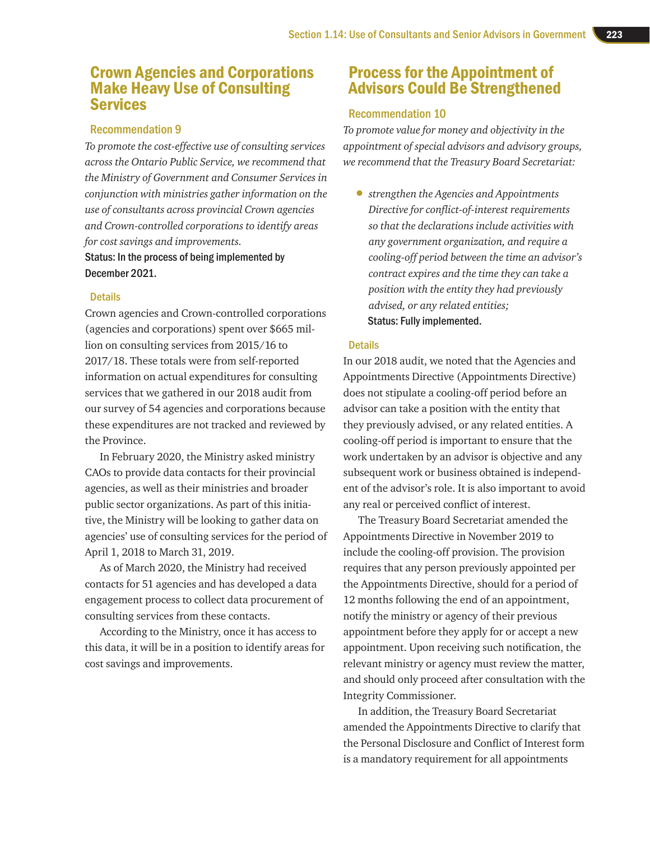## Crown Agencies and Corporations Make Heavy Use of Consulting Services

## Recommendation 9

*To promote the cost-effective use of consulting services across the Ontario Public Service, we recommend that the Ministry of Government and Consumer Services in conjunction with ministries gather information on the use of consultants across provincial Crown agencies and Crown-controlled corporations to identify areas for cost savings and improvements.*

Status: In the process of being implemented by December 2021.

## **Details**

Crown agencies and Crown-controlled corporations (agencies and corporations) spent over \$665 million on consulting services from 2015/16 to 2017/18. These totals were from self-reported information on actual expenditures for consulting services that we gathered in our 2018 audit from our survey of 54 agencies and corporations because these expenditures are not tracked and reviewed by the Province.

In February 2020, the Ministry asked ministry CAOs to provide data contacts for their provincial agencies, as well as their ministries and broader public sector organizations. As part of this initiative, the Ministry will be looking to gather data on agencies' use of consulting services for the period of April 1, 2018 to March 31, 2019.

As of March 2020, the Ministry had received contacts for 51 agencies and has developed a data engagement process to collect data procurement of consulting services from these contacts.

According to the Ministry, once it has access to this data, it will be in a position to identify areas for cost savings and improvements.

## Process for the Appointment of Advisors Could Be Strengthened

## Recommendation 10

*To promote value for money and objectivity in the appointment of special advisors and advisory groups, we recommend that the Treasury Board Secretariat:*

• *strengthen the Agencies and Appointments Directive for conflict-of-interest requirements so that the declarations include activities with any government organization, and require a cooling-off period between the time an advisor's contract expires and the time they can take a position with the entity they had previously advised, or any related entities;* Status: Fully implemented.

## **Details**

In our 2018 audit, we noted that the Agencies and Appointments Directive (Appointments Directive) does not stipulate a cooling-off period before an advisor can take a position with the entity that they previously advised, or any related entities. A cooling-off period is important to ensure that the work undertaken by an advisor is objective and any subsequent work or business obtained is independent of the advisor's role. It is also important to avoid any real or perceived conflict of interest.

The Treasury Board Secretariat amended the Appointments Directive in November 2019 to include the cooling-off provision. The provision requires that any person previously appointed per the Appointments Directive, should for a period of 12 months following the end of an appointment, notify the ministry or agency of their previous appointment before they apply for or accept a new appointment. Upon receiving such notification, the relevant ministry or agency must review the matter, and should only proceed after consultation with the Integrity Commissioner.

In addition, the Treasury Board Secretariat amended the Appointments Directive to clarify that the Personal Disclosure and Conflict of Interest form is a mandatory requirement for all appointments